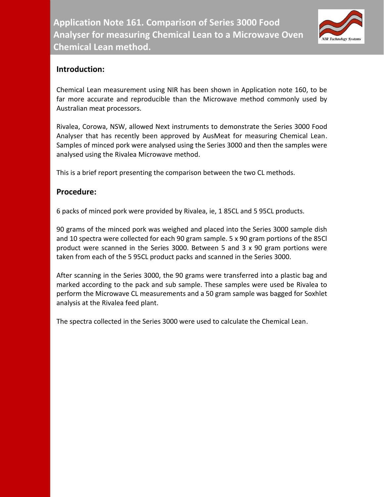

## **Introduction:**

Chemical Lean measurement using NIR has been shown in Application note 160, to be far more accurate and reproducible than the Microwave method commonly used by Australian meat processors.

Rivalea, Corowa, NSW, allowed Next instruments to demonstrate the Series 3000 Food Analyser that has recently been approved by AusMeat for measuring Chemical Lean. Samples of minced pork were analysed using the Series 3000 and then the samples were analysed using the Rivalea Microwave method.

This is a brief report presenting the comparison between the two CL methods.

## **Procedure:**

6 packs of minced pork were provided by Rivalea, ie, 1 85CL and 5 95CL products.

90 grams of the minced pork was weighed and placed into the Series 3000 sample dish and 10 spectra were collected for each 90 gram sample. 5 x 90 gram portions of the 85Cl product were scanned in the Series 3000. Between 5 and 3 x 90 gram portions were taken from each of the 5 95CL product packs and scanned in the Series 3000.

After scanning in the Series 3000, the 90 grams were transferred into a plastic bag and marked according to the pack and sub sample. These samples were used be Rivalea to perform the Microwave CL measurements and a 50 gram sample was bagged for Soxhlet analysis at the Rivalea feed plant.

The spectra collected in the Series 3000 were used to calculate the Chemical Lean.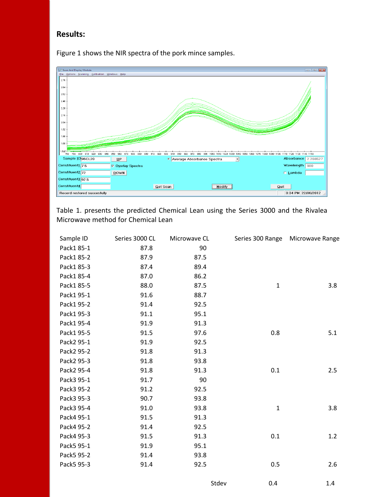## **Results:**

Figure 1 shows the NIR spectra of the pork mince samples.



Table 1. presents the predicted Chemical Lean using the Series 3000 and the Rivalea Microwave method for Chemical Lean

| Sample ID  | Series 3000 CL | Microwave CL |              | Series 300 Range Microwave Range |
|------------|----------------|--------------|--------------|----------------------------------|
| Pack1 85-1 | 87.8           | 90           |              |                                  |
| Pack1 85-2 | 87.9           | 87.5         |              |                                  |
| Pack1 85-3 | 87.4           | 89.4         |              |                                  |
| Pack1 85-4 | 87.0           | 86.2         |              |                                  |
| Pack1 85-5 | 88.0           | 87.5         | $\mathbf 1$  | 3.8                              |
| Pack1 95-1 | 91.6           | 88.7         |              |                                  |
| Pack1 95-2 | 91.4           | 92.5         |              |                                  |
| Pack1 95-3 | 91.1           | 95.1         |              |                                  |
| Pack1 95-4 | 91.9           | 91.3         |              |                                  |
| Pack1 95-5 | 91.5           | 97.6         | 0.8          | 5.1                              |
| Pack2 95-1 | 91.9           | 92.5         |              |                                  |
| Pack2 95-2 | 91.8           | 91.3         |              |                                  |
| Pack2 95-3 | 91.8           | 93.8         |              |                                  |
| Pack2 95-4 | 91.8           | 91.3         | 0.1          | 2.5                              |
| Pack3 95-1 | 91.7           | 90           |              |                                  |
| Pack3 95-2 | 91.2           | 92.5         |              |                                  |
| Pack3 95-3 | 90.7           | 93.8         |              |                                  |
| Pack3 95-4 | 91.0           | 93.8         | $\mathbf{1}$ | 3.8                              |
| Pack4 95-1 | 91.5           | 91.3         |              |                                  |
| Pack4 95-2 | 91.4           | 92.5         |              |                                  |
| Pack4 95-3 | 91.5           | 91.3         | 0.1          | 1.2                              |
| Pack5 95-1 | 91.9           | 95.1         |              |                                  |
| Pack5 95-2 | 91.4           | 93.8         |              |                                  |
| Pack5 95-3 | 91.4           | 92.5         | 0.5          | 2.6                              |
|            |                |              |              |                                  |

Stdev 0.4 1.4